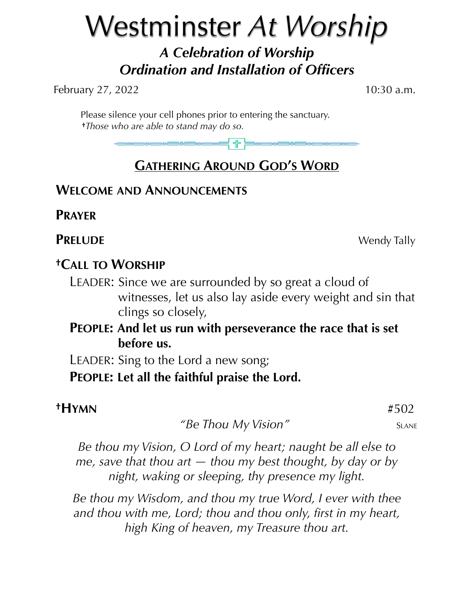# Westminster *At Worship*

*A Celebration of Worship Ordination and Installation of Officers*

February 27, 202210:30 a.m.

 Please silence your cell phones prior to entering the sanctuary. **†***Those who are able to stand may do so.*

> ╡╬╞════ <u> Bermer Bermer</u>

# **GATHERING AROUND GOD'S WORD**

#### **WELCOME AND ANNOUNCEMENTS**

**PRAYER**

**PRELUDE** Wendy Tally

## **†CALL TO WORSHIP**

LEADER: Since we are surrounded by so great a cloud of witnesses, let us also lay aside every weight and sin that clings so closely,

**PEOPLE: And let us run with perseverance the race that is set before us.**

LEADER: Sing to the Lord a new song;

**PEOPLE: Let all the faithful praise the Lord.**

# **†HYMN** #502

*"Be Thou My Vision"* SLANE

*Be thou my Vision, O Lord of my heart; naught be all else to me, save that thou art — thou my best thought, by day or by night, waking or sleeping, thy presence my light.*

*Be thou my Wisdom, and thou my true Word, I ever with thee and thou with me, Lord; thou and thou only, first in my heart, high King of heaven, my Treasure thou art.*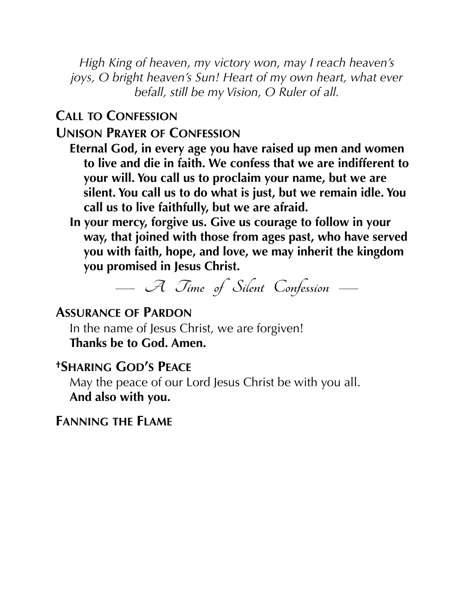*High King of heaven, my victory won, may I reach heaven's joys, O bright heaven's Sun! Heart of my own heart, what ever befall, still be my Vision, O Ruler of all.*

**CALL TO CONFESSION**

**UNISON PRAYER OF CONFESSION**

- **Eternal God, in every age you have raised up men and women to live and die in faith. We confess that we are indifferent to your will. You call us to proclaim your name, but we are silent. You call us to do what is just, but we remain idle. You call us to live faithfully, but we are afraid.**
- **In your mercy, forgive us. Give us courage to follow in your way, that joined with those from ages past, who have served you with faith, hope, and love, we may inherit the kingdom you promised in Jesus Christ.**

**— A Time of Silent Confession —**

#### **ASSURANCE OF PARDON**

In the name of Jesus Christ, we are forgiven! **Thanks be to God. Amen.**

#### **†SHARING GOD'S PEACE**

May the peace of our Lord Jesus Christ be with you all. **And also with you.**

**FANNING THE FLAME**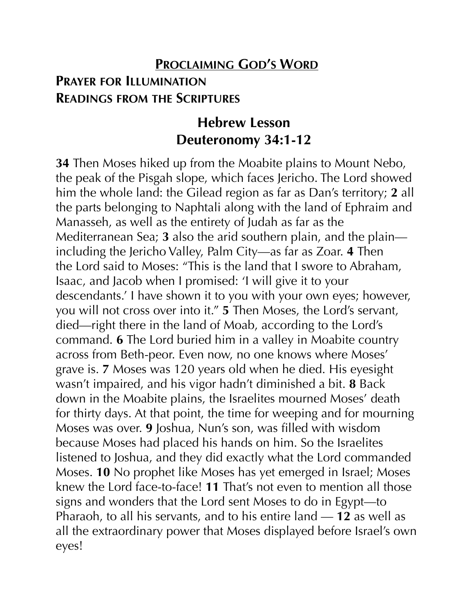# **PROCLAIMING GOD'S WORD PRAYER FOR ILLUMINATION READINGS FROM THE SCRIPTURES**

## **Hebrew Lesson Deuteronomy 34:1-12**

**34** Then Moses hiked up from the Moabite plains to Mount Nebo, the peak of the Pisgah slope, which faces Jericho. The Lord showed him the whole land: the Gilead region as far as Dan's territory; **2** all the parts belonging to Naphtali along with the land of Ephraim and Manasseh, as well as the entirety of Judah as far as the Mediterranean Sea; **3** also the arid southern plain, and the plain including the Jericho Valley, Palm City—as far as Zoar. **4** Then the Lord said to Moses: "This is the land that I swore to Abraham, Isaac, and Jacob when I promised: 'I will give it to your descendants.' I have shown it to you with your own eyes; however, you will not cross over into it." **5** Then Moses, the Lord's servant, died—right there in the land of Moab, according to the Lord's command. **6** The Lord buried him in a valley in Moabite country across from Beth-peor. Even now, no one knows where Moses' grave is. **7** Moses was 120 years old when he died. His eyesight wasn't impaired, and his vigor hadn't diminished a bit. **8** Back down in the Moabite plains, the Israelites mourned Moses' death for thirty days. At that point, the time for weeping and for mourning Moses was over. **9** Joshua, Nun's son, was filled with wisdom because Moses had placed his hands on him. So the Israelites listened to Joshua, and they did exactly what the Lord commanded Moses. **10** No prophet like Moses has yet emerged in Israel; Moses knew the Lord face-to-face! **11** That's not even to mention all those signs and wonders that the Lord sent Moses to do in Egypt—to Pharaoh, to all his servants, and to his entire land — **12** as well as all the extraordinary power that Moses displayed before Israel's own eyes!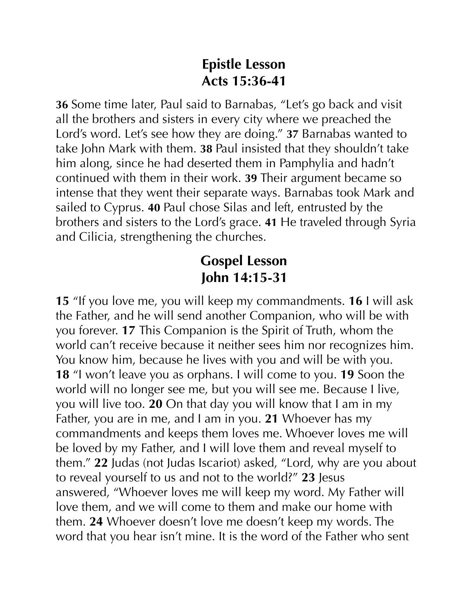# **Epistle Lesson Acts 15:36-41**

**36** Some time later, Paul said to Barnabas, "Let's go back and visit all the brothers and sisters in every city where we preached the Lord's word. Let's see how they are doing." **37** Barnabas wanted to take John Mark with them. **38** Paul insisted that they shouldn't take him along, since he had deserted them in Pamphylia and hadn't continued with them in their work. **39** Their argument became so intense that they went their separate ways. Barnabas took Mark and sailed to Cyprus. **40** Paul chose Silas and left, entrusted by the brothers and sisters to the Lord's grace. **41** He traveled through Syria and Cilicia, strengthening the churches.

# **Gospel Lesson John 14:15-31**

**15** "If you love me, you will keep my commandments. **16** I will ask the Father, and he will send another Companion, who will be with you forever. **17** This Companion is the Spirit of Truth, whom the world can't receive because it neither sees him nor recognizes him. You know him, because he lives with you and will be with you. **18** "I won't leave you as orphans. I will come to you. **19** Soon the world will no longer see me, but you will see me. Because I live, you will live too. **20** On that day you will know that I am in my Father, you are in me, and I am in you. **21** Whoever has my commandments and keeps them loves me. Whoever loves me will be loved by my Father, and I will love them and reveal myself to them." **22** Judas (not Judas Iscariot) asked, "Lord, why are you about to reveal yourself to us and not to the world?" **23** Jesus answered, "Whoever loves me will keep my word. My Father will love them, and we will come to them and make our home with them. **24** Whoever doesn't love me doesn't keep my words. The word that you hear isn't mine. It is the word of the Father who sent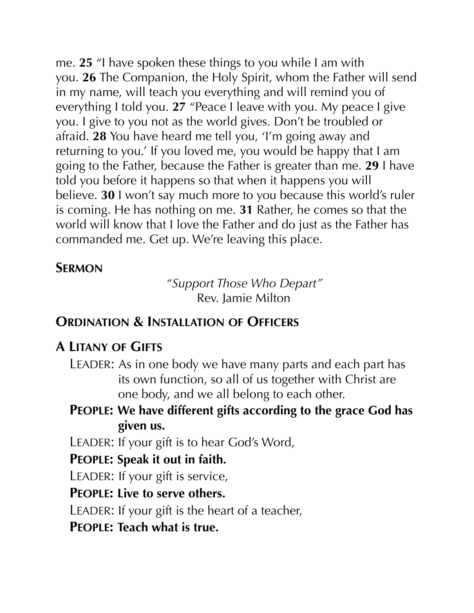me. **25** "I have spoken these things to you while I am with you. **26** The Companion, the Holy Spirit, whom the Father will send in my name, will teach you everything and will remind you of everything I told you. **27** "Peace I leave with you. My peace I give you. I give to you not as the world gives. Don't be troubled or afraid. **28** You have heard me tell you, 'I'm going away and returning to you.' If you loved me, you would be happy that I am going to the Father, because the Father is greater than me. **29** I have told you before it happens so that when it happens you will believe. **30** I won't say much more to you because this world's ruler is coming. He has nothing on me. **31** Rather, he comes so that the world will know that I love the Father and do just as the Father has commanded me. Get up. We're leaving this place.

#### **SERMON**

 *"Support Those Who Depart"* Rev. Jamie Milton

# **ORDINATION & INSTALLATION OF OFFICERS**

# **A LITANY OF GIFTS**

LEADER: As in one body we have many parts and each part has its own function, so all of us together with Christ are one body, and we all belong to each other.

### **PEOPLE: We have different gifts according to the grace God has given us.**

LEADER: If your gift is to hear God's Word,

## **PEOPLE: Speak it out in faith.**

LEADER: If your gift is service,

#### **PEOPLE: Live to serve others.**

LEADER: If your gift is the heart of a teacher,

**PEOPLE: Teach what is true.**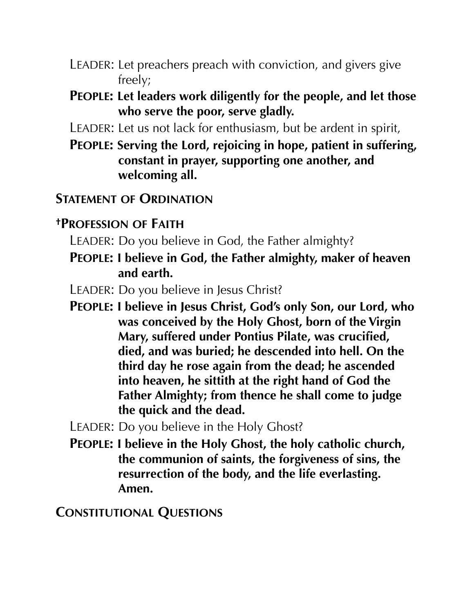- LEADER: Let preachers preach with conviction, and givers give freely;
- **PEOPLE: Let leaders work diligently for the people, and let those who serve the poor, serve gladly.**
- LEADER: Let us not lack for enthusiasm, but be ardent in spirit,
- **PEOPLE: Serving the Lord, rejoicing in hope, patient in suffering, constant in prayer, supporting one another, and welcoming all.**

#### **STATEMENT OF ORDINATION**

#### **†PROFESSION OF FAITH**

LEADER: Do you believe in God, the Father almighty?

- **PEOPLE: I believe in God, the Father almighty, maker of heaven and earth.**
- LEADER: Do you believe in Jesus Christ?
- **PEOPLE: I believe in Jesus Christ, God's only Son, our Lord, who was conceived by the Holy Ghost, born of the Virgin Mary, suffered under Pontius Pilate, was crucified, died, and was buried; he descended into hell. On the third day he rose again from the dead; he ascended into heaven, he sittith at the right hand of God the Father Almighty; from thence he shall come to judge the quick and the dead.**
- LEADER: Do you believe in the Holy Ghost?
- **PEOPLE: I believe in the Holy Ghost, the holy catholic church, the communion of saints, the forgiveness of sins, the resurrection of the body, and the life everlasting. Amen.**

**CONSTITUTIONAL QUESTIONS**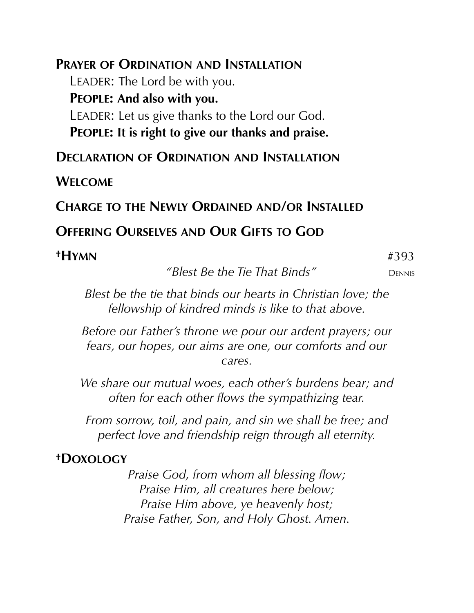**PRAYER OF ORDINATION AND INSTALLATION** LEADER: The Lord be with you. **PEOPLE: And also with you.** LEADER: Let us give thanks to the Lord our God. **PEOPLE: It is right to give our thanks and praise.**

**DECLARATION OF ORDINATION AND INSTALLATION**

**WELCOME**

**CHARGE TO THE NEWLY ORDAINED AND/OR INSTALLED**

**OFFERING OURSELVES AND OUR GIFTS TO GOD**

## **†HYMN** #393

*"Blest Be the Tie That Binds"* DENNIS

*Blest be the tie that binds our hearts in Christian love; the fellowship of kindred minds is like to that above.*

*Before our Father's throne we pour our ardent prayers; our fears, our hopes, our aims are one, our comforts and our cares.*

*We share our mutual woes, each other's burdens bear; and often for each other flows the sympathizing tear.*

*From sorrow, toil, and pain, and sin we shall be free; and perfect love and friendship reign through all eternity.*

#### **†DOXOLOGY**

*Praise God, from whom all blessing flow; Praise Him, all creatures here below; Praise Him above, ye heavenly host; Praise Father, Son, and Holy Ghost. Amen.*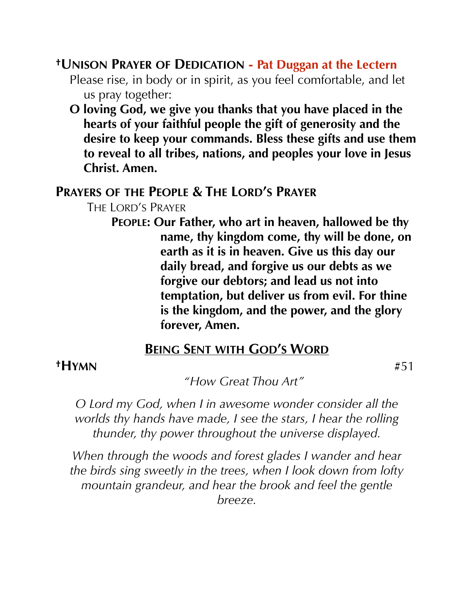#### **†UNISON PRAYER OF DEDICATION - Pat Duggan at the Lectern**

- Please rise, in body or in spirit, as you feel comfortable, and let us pray together:
- **O loving God, we give you thanks that you have placed in the hearts of your faithful people the gift of generosity and the desire to keep your commands. Bless these gifts and use them to reveal to all tribes, nations, and peoples your love in Jesus Christ. Amen.**

#### **PRAYERS OF THE PEOPLE & THE LORD'S PRAYER**

THE LORD'S PRAYER

**PEOPLE: Our Father, who art in heaven, hallowed be thy name, thy kingdom come, thy will be done, on earth as it is in heaven. Give us this day our daily bread, and forgive us our debts as we forgive our debtors; and lead us not into temptation, but deliver us from evil. For thine is the kingdom, and the power, and the glory forever, Amen.**

#### **BEING SENT WITH GOD'S WORD**

#### **†HYMN** #51

 *"How Great Thou Art"* 

*O Lord my God, when I in awesome wonder consider all the worlds thy hands have made, I see the stars, I hear the rolling thunder, thy power throughout the universe displayed.* 

*When through the woods and forest glades I wander and hear the birds sing sweetly in the trees, when I look down from lofty mountain grandeur, and hear the brook and feel the gentle breeze.*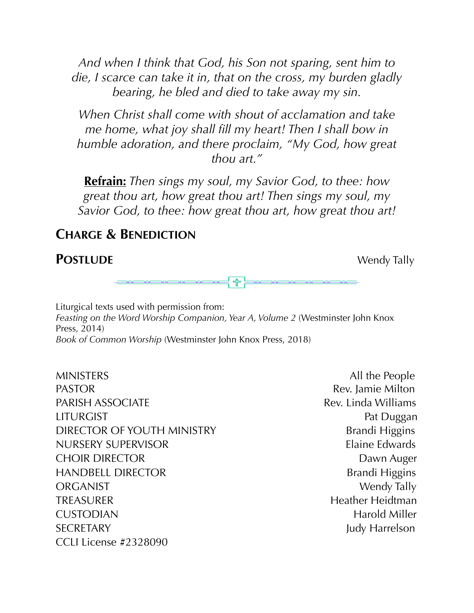*And when I think that God, his Son not sparing, sent him to die, I scarce can take it in, that on the cross, my burden gladly bearing, he bled and died to take away my sin.*

*When Christ shall come with shout of acclamation and take me home, what joy shall fill my heart! Then I shall bow in humble adoration, and there proclaim, "My God, how great thou art."*

**Refrain:** *Then sings my soul, my Savior God, to thee: how great thou art, how great thou art! Then sings my soul, my Savior God, to thee: how great thou art, how great thou art!*

#### **CHARGE & BENEDICTION**

**POSTLUDE** Wendy Tally

Liturgical texts used with permission from: *Feasting on the Word Worship Companion, Year A, Volume 2* (Westminster John Knox Press, 2014) *Book of Common Worship* (Westminster John Knox Press, 2018)

MINISTERS All the People PASTOR **Rev. Lamie Milton** PARISH ASSOCIATE **Rev. Linda Williams** LITURGIST Pat Duggan DIRECTOR OF YOUTH MINISTRY Brandi Higgins NURSERY SUPERVISOR Elaine Edwards CHOIR DIRECTOR **Dawn** Auger HANDBELL DIRECTOR Brandi Higgins ORGANIST Wendy Tally TREASURER Heidtman Heather Heidtman CUSTODIAN Harold Miller SECRETARY Judy Harrelson CCLI License #2328090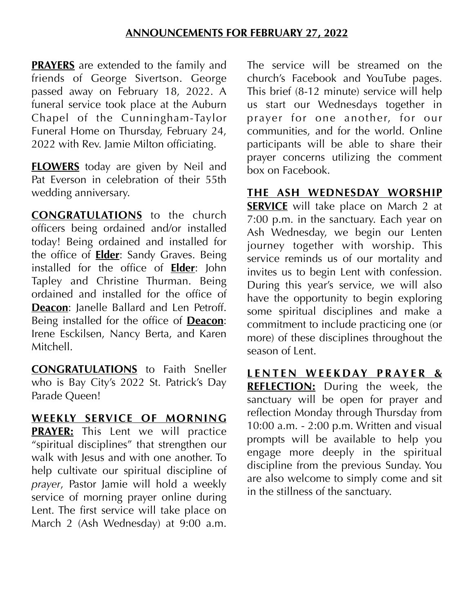**PRAYERS** are extended to the family and friends of George Sivertson. George passed away on February 18, 2022. A funeral service took place at the Auburn Chapel of the Cunningham-Taylor Funeral Home on Thursday, February 24, 2022 with Rev. Jamie Milton officiating.

**FLOWERS** today are given by Neil and Pat Everson in celebration of their 55th wedding anniversary.

**CONGRATULATIONS** to the church officers being ordained and/or installed today! Being ordained and installed for the office of **Elder**: Sandy Graves. Being installed for the office of **Elder**: John Tapley and Christine Thurman. Being ordained and installed for the office of **Deacon**: Janelle Ballard and Len Petroff. Being installed for the office of **Deacon**: Irene Esckilsen, Nancy Berta, and Karen Mitchell.

**CONGRATULATIONS** to Faith Sneller who is Bay City's 2022 St. Patrick's Day Parade Queen!

**WEEKLY SERVICE OF MORNING PRAYER:** This Lent we will practice "spiritual disciplines" that strengthen our walk with Jesus and with one another. To help cultivate our spiritual discipline of *prayer*, Pastor Jamie will hold a weekly service of morning prayer online during Lent. The first service will take place on March 2 (Ash Wednesday) at 9:00 a.m.

The service will be streamed on the church's Facebook and YouTube pages. This brief (8-12 minute) service will help us start our Wednesdays together in prayer for one another, for our communities, and for the world. Online participants will be able to share their prayer concerns utilizing the comment box on Facebook.

**THE ASH WEDNESDAY WORSHIP SERVICE** will take place on March 2 at 7:00 p.m. in the sanctuary. Each year on Ash Wednesday, we begin our Lenten journey together with worship. This service reminds us of our mortality and invites us to begin Lent with confession. During this year's service, we will also have the opportunity to begin exploring some spiritual disciplines and make a commitment to include practicing one (or more) of these disciplines throughout the season of Lent.

LENTEN WEEKDAY PRAYER & **REFLECTION:** During the week, the sanctuary will be open for prayer and reflection Monday through Thursday from 10:00 a.m. - 2:00 p.m. Written and visual prompts will be available to help you engage more deeply in the spiritual discipline from the previous Sunday. You are also welcome to simply come and sit in the stillness of the sanctuary.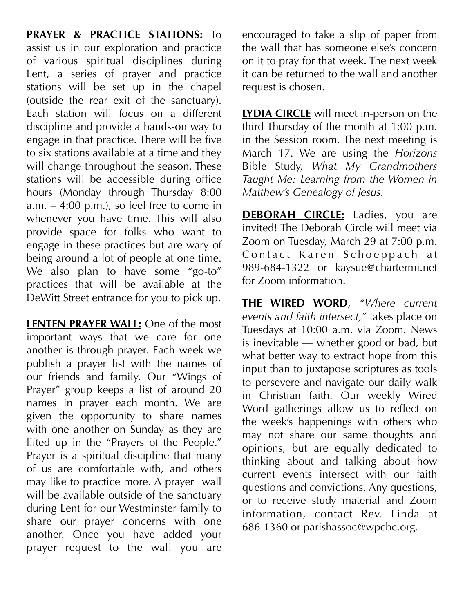**PRAYER & PRACTICE STATIONS:** To assist us in our exploration and practice of various spiritual disciplines during Lent, a series of prayer and practice stations will be set up in the chapel (outside the rear exit of the sanctuary). Each station will focus on a different discipline and provide a hands-on way to engage in that practice. There will be five to six stations available at a time and they will change throughout the season. These stations will be accessible during office hours (Monday through Thursday 8:00 a.m.  $-$  4:00 p.m.), so feel free to come in whenever you have time. This will also provide space for folks who want to engage in these practices but are wary of being around a lot of people at one time. We also plan to have some "go-to" practices that will be available at the DeWitt Street entrance for you to pick up.

**LENTEN PRAYER WALL:** One of the most important ways that we care for one another is through prayer. Each week we publish a prayer list with the names of our friends and family. Our "Wings of Prayer" group keeps a list of around 20 names in prayer each month. We are given the opportunity to share names with one another on Sunday as they are lifted up in the "Prayers of the People." Prayer is a spiritual discipline that many of us are comfortable with, and others may like to practice more. A prayer wall will be available outside of the sanctuary during Lent for our Westminster family to share our prayer concerns with one another. Once you have added your prayer request to the wall you are encouraged to take a slip of paper from the wall that has someone else's concern on it to pray for that week. The next week it can be returned to the wall and another request is chosen.

**LYDIA CIRCLE** will meet in-person on the third Thursday of the month at 1:00 p.m. in the Session room. The next meeting is March 17. We are using the *Horizons* Bible Study, *What My Grandmothers Taught Me: Learning from the Women in Matthew's Genealogy of Jesus.*

**DEBORAH CIRCLE:** Ladies, you are invited! The Deborah Circle will meet via Zoom on Tuesday, March 29 at 7:00 p.m. Contact Karen Schoeppach at 989-684-1322 or kaysue@chartermi.net for Zoom information.

**THE WIRED WORD**, *"Where current events and faith intersect,"* takes place on Tuesdays at 10:00 a.m. via Zoom. News is inevitable — whether good or bad, but what better way to extract hope from this input than to juxtapose scriptures as tools to persevere and navigate our daily walk in Christian faith. Our weekly Wired Word gatherings allow us to reflect on the week's happenings with others who may not share our same thoughts and opinions, but are equally dedicated to thinking about and talking about how current events intersect with our faith questions and convictions. Any questions, or to receive study material and Zoom information, contact Rev. Linda at 686-1360 or parishassoc@wpcbc.org.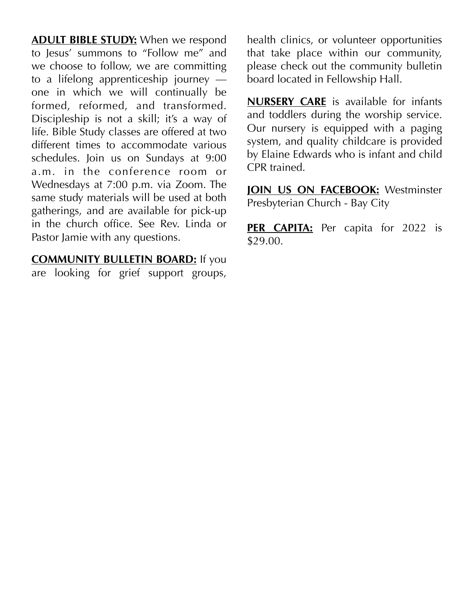**ADULT BIBLE STUDY:** When we respond to Jesus' summons to "Follow me" and we choose to follow, we are committing to a lifelong apprenticeship journey one in which we will continually be formed, reformed, and transformed. Discipleship is not a skill; it's a way of life. Bible Study classes are offered at two different times to accommodate various schedules. Join us on Sundays at 9:00 a.m. in the conference room or Wednesdays at 7:00 p.m. via Zoom. The same study materials will be used at both gatherings, and are available for pick-up in the church office. See Rev. Linda or Pastor Jamie with any questions.

**COMMUNITY BULLETIN BOARD:** If you are looking for grief support groups, health clinics, or volunteer opportunities that take place within our community, please check out the community bulletin board located in Fellowship Hall.

**NURSERY CARE** is available for infants and toddlers during the worship service. Our nursery is equipped with a paging system, and quality childcare is provided by Elaine Edwards who is infant and child CPR trained.

**JOIN US ON FACEBOOK:** Westminster Presbyterian Church - Bay City

**PER CAPITA:** Per capita for 2022 is \$29.00.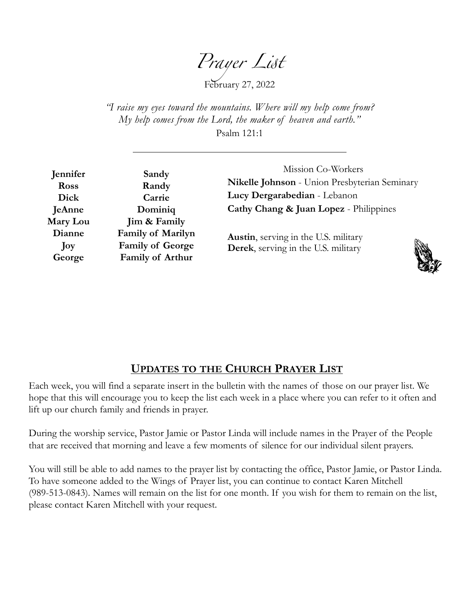*Prayer L*is*t*

February 27, 2022

*"I raise my eyes toward the mountains. Where will my help come from? My help comes from the Lord, the maker of heaven and earth."* Psalm 121:1

Mission Co-Workers **Nikelle Johnson** - Union Presbyterian Seminary **Lucy Dergarabedian** - Lebanon **Cathy Chang & Juan Lopez** - Philippines **Jennifer Ross Dick JeAnne Mary Lou Dianne Joy George Sandy Randy Carrie Dominiq Jim & Family Family of Marilyn Family of George Family of Arthur Austin**, serving in the U.S. military **Derek**, serving in the U.S. military



#### **UPDATES TO THE CHURCH PRAYER LIST**

Each week, you will find a separate insert in the bulletin with the names of those on our prayer list. We hope that this will encourage you to keep the list each week in a place where you can refer to it often and lift up our church family and friends in prayer.

During the worship service, Pastor Jamie or Pastor Linda will include names in the Prayer of the People that are received that morning and leave a few moments of silence for our individual silent prayers.

You will still be able to add names to the prayer list by contacting the office, Pastor Jamie, or Pastor Linda. To have someone added to the Wings of Prayer list, you can continue to contact Karen Mitchell (989-513-0843). Names will remain on the list for one month. If you wish for them to remain on the list, please contact Karen Mitchell with your request.